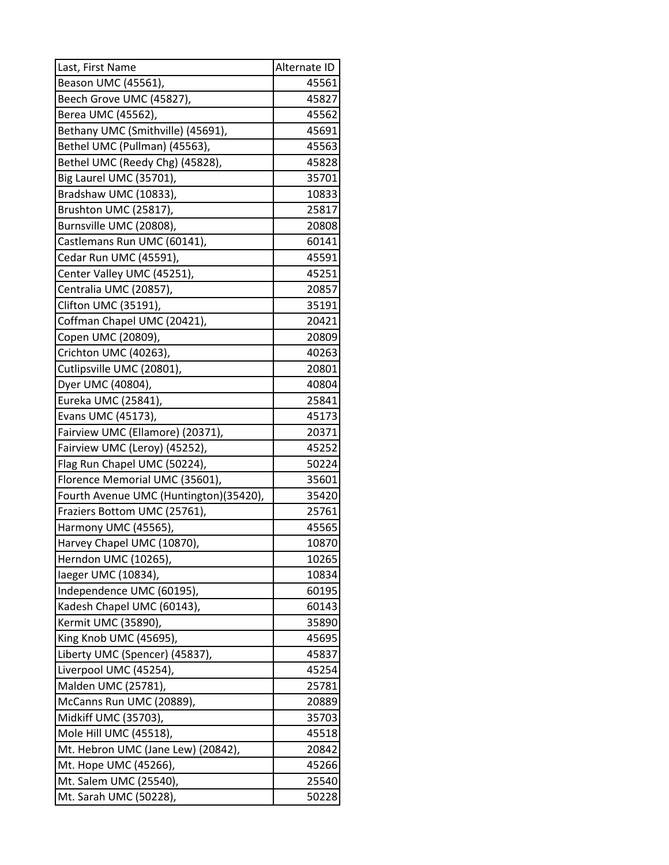| Last, First Name                               | Alternate ID   |
|------------------------------------------------|----------------|
| Beason UMC (45561),                            | 45561          |
| Beech Grove UMC (45827),                       | 45827          |
| Berea UMC (45562),                             | 45562          |
| Bethany UMC (Smithville) (45691),              | 45691          |
| Bethel UMC (Pullman) (45563),                  | 45563          |
| Bethel UMC (Reedy Chg) (45828),                | 45828          |
| Big Laurel UMC (35701),                        | 35701          |
| Bradshaw UMC (10833),                          | 10833          |
| Brushton UMC (25817),                          | 25817          |
| Burnsville UMC (20808),                        | 20808          |
| Castlemans Run UMC (60141),                    | 60141          |
| Cedar Run UMC (45591),                         | 45591          |
| Center Valley UMC (45251),                     | 45251          |
| Centralia UMC (20857),                         | 20857          |
| Clifton UMC (35191),                           | 35191          |
| Coffman Chapel UMC (20421),                    | 20421          |
| Copen UMC (20809),                             | 20809          |
| Crichton UMC (40263),                          | 40263          |
| Cutlipsville UMC (20801),                      | 20801          |
| Dyer UMC (40804),                              | 40804          |
| Eureka UMC (25841),                            | 25841          |
| Evans UMC (45173),                             | 45173          |
| Fairview UMC (Ellamore) (20371),               | 20371          |
| Fairview UMC (Leroy) (45252),                  | 45252          |
| Flag Run Chapel UMC (50224),                   | 50224          |
| Florence Memorial UMC (35601),                 | 35601          |
| Fourth Avenue UMC (Huntington)(35420),         | 35420          |
| Fraziers Bottom UMC (25761),                   | 25761          |
| Harmony UMC (45565),                           | 45565          |
| Harvey Chapel UMC (10870),                     | 10870          |
| Herndon UMC (10265),                           | 10265          |
| laeger UMC (10834),                            | 10834          |
| Independence UMC (60195),                      | 60195          |
| Kadesh Chapel UMC (60143),                     | 60143          |
| Kermit UMC (35890),                            | 35890          |
| King Knob UMC (45695),                         | 45695          |
| Liberty UMC (Spencer) (45837),                 | 45837          |
| Liverpool UMC (45254),                         | 45254          |
| Malden UMC (25781),                            | 25781          |
| McCanns Run UMC (20889),                       | 20889          |
| Midkiff UMC (35703),<br>Mole Hill UMC (45518), | 35703<br>45518 |
|                                                |                |
| Mt. Hebron UMC (Jane Lew) (20842),             | 20842          |
| Mt. Hope UMC (45266),                          | 45266          |
| Mt. Salem UMC (25540),                         | 25540          |
| Mt. Sarah UMC (50228),                         | 50228          |